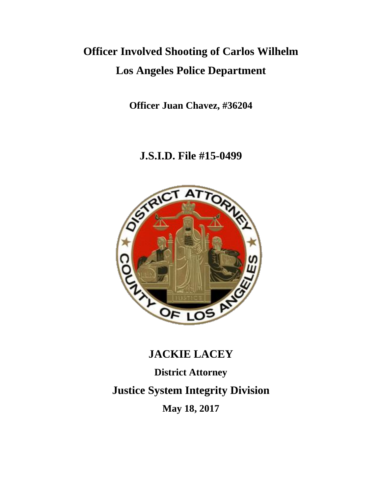# **Officer Involved Shooting of Carlos Wilhelm Los Angeles Police Department**

**Officer Juan Chavez, #36204**

## **J.S.I.D. File #15-0499**



# **JACKIE LACEY**

**District Attorney Justice System Integrity Division May 18, 2017**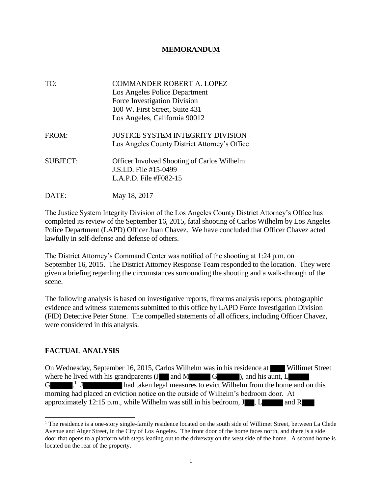#### **MEMORANDUM**

| TO:             | <b>COMMANDER ROBERT A. LOPEZ</b>                   |
|-----------------|----------------------------------------------------|
|                 | Los Angeles Police Department                      |
|                 | Force Investigation Division                       |
|                 | 100 W. First Street, Suite 431                     |
|                 | Los Angeles, California 90012                      |
| FROM:           | <b>JUSTICE SYSTEM INTEGRITY DIVISION</b>           |
|                 | Los Angeles County District Attorney's Office      |
| <b>SUBJECT:</b> | <b>Officer Involved Shooting of Carlos Wilhelm</b> |
|                 | J.S.I.D. File #15-0499                             |
|                 | L.A.P.D. File $#F082-15$                           |
| DATE:           | May 18, 2017                                       |

The Justice System Integrity Division of the Los Angeles County District Attorney's Office has completed its review of the September 16, 2015, fatal shooting of Carlos Wilhelm by Los Angeles Police Department (LAPD) Officer Juan Chavez. We have concluded that Officer Chavez acted lawfully in self-defense and defense of others.

The District Attorney's Command Center was notified of the shooting at 1:24 p.m. on September 16, 2015. The District Attorney Response Team responded to the location. They were given a briefing regarding the circumstances surrounding the shooting and a walk-through of the scene.

The following analysis is based on investigative reports, firearms analysis reports, photographic evidence and witness statements submitted to this office by LAPD Force Investigation Division (FID) Detective Peter Stone. The compelled statements of all officers, including Officer Chavez, were considered in this analysis.

#### **FACTUAL ANALYSIS**

On Wednesday, September 16, 2015, Carlos Wilhelm was in his residence at Willimet Street where he lived with his grandparents  $(J \cap M)$  and  $M \cap G$  ), and his aunt, L  $G$  .  $J$ had taken legal measures to evict Wilhelm from the home and on this morning had placed an eviction notice on the outside of Wilhelm's bedroom door. At approximately 12:15 p.m., while Wilhelm was still in his bedroom,  $J_{\text{I}}$ , L and R

<sup>&</sup>lt;sup>1</sup> The residence is a one-story single-family residence located on the south side of Willimet Street, between La Clede Avenue and Alger Street, in the City of Los Angeles. The front door of the home faces north, and there is a side door that opens to a platform with steps leading out to the driveway on the west side of the home. A second home is located on the rear of the property.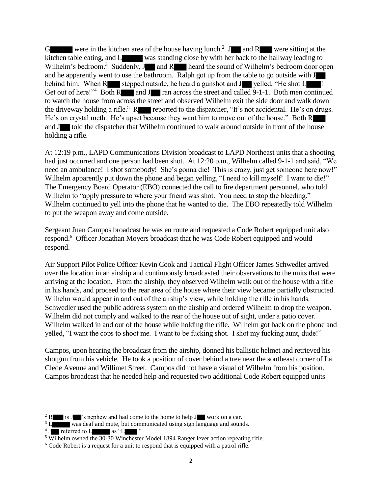G were in the kitchen area of the house having lunch.<sup>2</sup> J and R were sitting at the kitchen table eating, and L was standing close by with her back to the hallway leading to Wilhelm's bedroom.<sup>3</sup> Suddenly,  $J$  and  $R$  heard the sound of Wilhelm's bedroom door open and he apparently went to use the bathroom. Ralph got up from the table to go outside with J behind him. When R stepped outside, he heard a gunshot and J velled, "He shot  $L$ Get out of here!"<sup>4</sup> Both R and J ran across the street and called 9-1-1. Both men continued to watch the house from across the street and observed Wilhelm exit the side door and walk down the driveway holding a rifle.<sup>5</sup> R reported to the dispatcher, "It's not accidental. He's on drugs. He's on crystal meth. He's upset because they want him to move out of the house." Both R and J told the dispatcher that Wilhelm continued to walk around outside in front of the house holding a rifle.

At 12:19 p.m., LAPD Communications Division broadcast to LAPD Northeast units that a shooting had just occurred and one person had been shot. At 12:20 p.m., Wilhelm called 9-1-1 and said, "We need an ambulance! I shot somebody! She's gonna die! This is crazy, just get someone here now!" Wilhelm apparently put down the phone and began yelling, "I need to kill myself! I want to die!" The Emergency Board Operator (EBO) connected the call to fire department personnel, who told Wilhelm to "apply pressure to where your friend was shot. You need to stop the bleeding." Wilhelm continued to yell into the phone that he wanted to die. The EBO repeatedly told Wilhelm to put the weapon away and come outside.

Sergeant Juan Campos broadcast he was en route and requested a Code Robert equipped unit also respond.<sup>6</sup> Officer Jonathan Moyers broadcast that he was Code Robert equipped and would respond.

Air Support Pilot Police Officer Kevin Cook and Tactical Flight Officer James Schwedler arrived over the location in an airship and continuously broadcasted their observations to the units that were arriving at the location. From the airship, they observed Wilhelm walk out of the house with a rifle in his hands, and proceed to the rear area of the house where their view became partially obstructed. Wilhelm would appear in and out of the airship's view, while holding the rifle in his hands. Schwedler used the public address system on the airship and ordered Wilhelm to drop the weapon. Wilhelm did not comply and walked to the rear of the house out of sight, under a patio cover. Wilhelm walked in and out of the house while holding the rifle. Wilhelm got back on the phone and yelled, "I want the cops to shoot me. I want to be fucking shot. I shot my fucking aunt, dude!"

Campos, upon hearing the broadcast from the airship, donned his ballistic helmet and retrieved his shotgun from his vehicle. He took a position of cover behind a tree near the southeast corner of La Clede Avenue and Willimet Street. Campos did not have a visual of Wilhelm from his position. Campos broadcast that he needed help and requested two additional Code Robert equipped units

<sup>&</sup>lt;sup>2</sup> R is J 's nephew and had come to the home to help J work on a car.

<sup>&</sup>lt;sup>3</sup> L was deaf and mute, but communicated using sign language and sounds.

 $4 \text{ J}$  referred to L as "L  $\blacksquare$ ."

<sup>5</sup> Wilhelm owned the 30-30 Winchester Model 1894 Ranger lever action repeating rifle.

<sup>&</sup>lt;sup>6</sup> Code Robert is a request for a unit to respond that is equipped with a patrol rifle.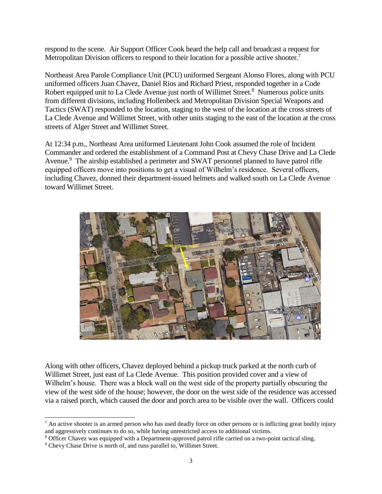respond to the scene. Air Support Officer Cook heard the help call and broadcast a request for Metropolitan Division officers to respond to their location for a possible active shooter.<sup>7</sup>

Northeast Area Parole Compliance Unit (PCU) uniformed Sergeant Alonso Flores, along with PCU uniformed officers Juan Chavez, Daniel Rios and Richard Priest, responded together in a Code Robert equipped unit to La Clede Avenue just north of Willimet Street.<sup>8</sup> Numerous police units from different divisions, including Hollenbeck and Metropolitan Division Special Weapons and Tactics (SWAT) responded to the location, staging to the west of the location at the cross streets of La Clede Avenue and Willimet Street, with other units staging to the east of the location at the cross streets of Alger Street and Willimet Street.

At 12:34 p.m., Northeast Area uniformed Lieutenant John Cook assumed the role of Incident Commander and ordered the establishment of a Command Post at Chevy Chase Drive and La Clede Avenue.<sup>9</sup> The airship established a perimeter and SWAT personnel planned to have patrol rifle equipped officers move into positions to get a visual of Wilhelm's residence. Several officers, including Chavez, donned their department-issued helmets and walked south on La Clede Avenue toward Willimet Street.



Along with other officers, Chavez deployed behind a pickup truck parked at the north curb of Willimet Street, just east of La Clede Avenue. This position provided cover and a view of Wilhelm's house. There was a block wall on the west side of the property partially obscuring the view of the west side of the house; however, the door on the west side of the residence was accessed via a raised porch, which caused the door and porch area to be visible over the wall. Officers could

<sup>8</sup> Officer Chavez was equipped with a Department-approved patrol rifle carried on a two-point tactical sling.

 $\overline{a}$ 

 $^7$  An active shooter is an armed person who has used deadly force on other persons or is inflicting great bodily injury and aggressively continues to do so, while having unrestricted access to additional victims.

<sup>&</sup>lt;sup>9</sup> Chevy Chase Drive is north of, and runs parallel to, Willimet Street.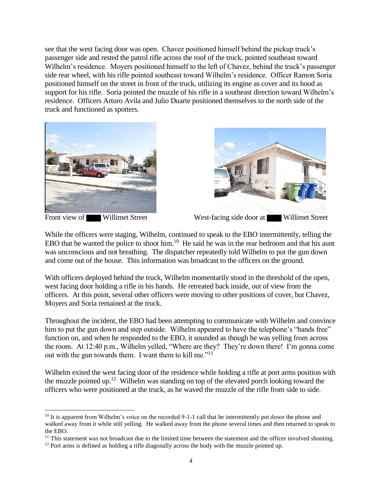see that the west facing door was open. Chavez positioned himself behind the pickup truck's passenger side and rested the patrol rifle across the roof of the truck, pointed southeast toward Wilhelm's residence. Moyers positioned himself to the left of Chavez, behind the truck's passenger side rear wheel, with his rifle pointed southeast toward Wilhelm's residence. Officer Ramon Soria positioned himself on the street in front of the truck, utilizing its engine as cover and its hood as support for his rifle. Soria pointed the muzzle of his rifle in a southeast direction toward Wilhelm's residence. Officers Arturo Avila and Julio Duarte positioned themselves to the north side of the truck and functioned as spotters.



 $\overline{a}$ 



Front view of Willimet Street West-facing side door at Willimet Street

While the officers were staging, Wilhelm, continued to speak to the EBO intermittently, telling the EBO that he wanted the police to shoot him.<sup>10</sup> He said he was in the rear bedroom and that his aunt was unconscious and not breathing. The dispatcher repeatedly told Wilhelm to put the gun down and come out of the house. This information was broadcast to the officers on the ground.

With officers deployed behind the truck, Wilhelm momentarily stood in the threshold of the open, west facing door holding a rifle in his hands. He retreated back inside, out of view from the officers. At this point, several other officers were moving to other positions of cover, but Chavez, Moyers and Soria remained at the truck.

Throughout the incident, the EBO had been attempting to communicate with Wilhelm and convince him to put the gun down and step outside. Wilhelm appeared to have the telephone's "hands free" function on, and when he responded to the EBO, it sounded as though he was yelling from across the room. At 12:40 p.m., Wilhelm yelled, "Where are they? They're down there! I'm gonna come out with the gun towards them. I want them to kill me."<sup>11</sup>

Wilhelm exited the west facing door of the residence while holding a rifle at port arms position with the muzzle pointed up.<sup>12</sup> Wilhelm was standing on top of the elevated porch looking toward the officers who were positioned at the truck, as he waved the muzzle of the rifle from side to side.

<sup>&</sup>lt;sup>10</sup> It is apparent from Wilhelm's voice on the recorded 9-1-1 call that he intermittently put down the phone and walked away from it while still yelling. He walked away from the phone several times and then returned to speak to the EBO.

 $11$  This statement was not broadcast due to the limited time between the statement and the officer involved shooting.

 $12$  Port arms is defined as holding a rifle diagonally across the body with the muzzle pointed up.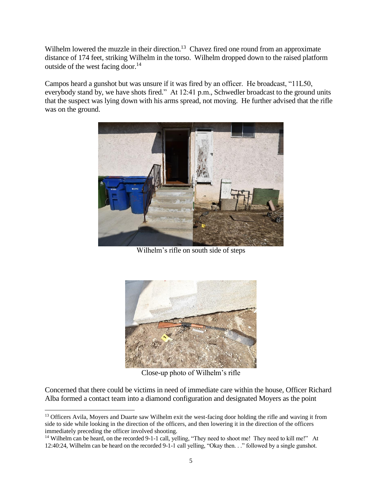Wilhelm lowered the muzzle in their direction.<sup>13</sup> Chavez fired one round from an approximate distance of 174 feet, striking Wilhelm in the torso. Wilhelm dropped down to the raised platform outside of the west facing door.<sup>14</sup>

Campos heard a gunshot but was unsure if it was fired by an officer. He broadcast, "11L50, everybody stand by, we have shots fired." At 12:41 p.m., Schwedler broadcast to the ground units that the suspect was lying down with his arms spread, not moving. He further advised that the rifle was on the ground.



Wilhelm's rifle on south side of steps



Close-up photo of Wilhelm's rifle

Concerned that there could be victims in need of immediate care within the house, Officer Richard Alba formed a contact team into a diamond configuration and designated Moyers as the point

 $\overline{a}$ 

<sup>&</sup>lt;sup>13</sup> Officers Avila, Moyers and Duarte saw Wilhelm exit the west-facing door holding the rifle and waving it from side to side while looking in the direction of the officers, and then lowering it in the direction of the officers immediately preceding the officer involved shooting.

<sup>&</sup>lt;sup>14</sup> Wilhelm can be heard, on the recorded 9-1-1 call, yelling, "They need to shoot me! They need to kill me!" At 12:40:24, Wilhelm can be heard on the recorded 9-1-1 call yelling, "Okay then. . ." followed by a single gunshot.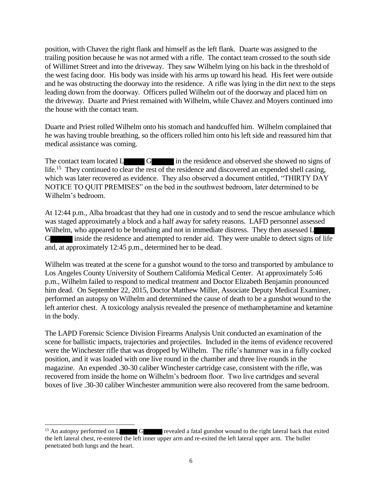position, with Chavez the right flank and himself as the left flank. Duarte was assigned to the trailing position because he was not armed with a rifle. The contact team crossed to the south side of Willimet Street and into the driveway. They saw Wilhelm lying on his back in the threshold of the west facing door. His body was inside with his arms up toward his head. His feet were outside and he was obstructing the doorway into the residence. A rifle was lying in the dirt next to the steps leading down from the doorway. Officers pulled Wilhelm out of the doorway and placed him on the driveway. Duarte and Priest remained with Wilhelm, while Chavez and Moyers continued into the house with the contact team.

Duarte and Priest rolled Wilhelm onto his stomach and handcuffed him. Wilhelm complained that he was having trouble breathing, so the officers rolled him onto his left side and reassured him that medical assistance was coming.

The contact team located L G in the residence and observed she showed no signs of life.<sup>15</sup> They continued to clear the rest of the residence and discovered an expended shell casing, which was later recovered as evidence. They also observed a document entitled, "THIRTY DAY NOTICE TO QUIT PREMISES" on the bed in the southwest bedroom, later determined to be Wilhelm's bedroom.

At 12:44 p.m., Alba broadcast that they had one in custody and to send the rescue ambulance which was staged approximately a block and a half away for safety reasons. LAFD personnel assessed Wilhelm, who appeared to be breathing and not in immediate distress. They then assessed L G inside the residence and attempted to render aid. They were unable to detect signs of life and, at approximately 12:45 p.m., determined her to be dead.

Wilhelm was treated at the scene for a gunshot wound to the torso and transported by ambulance to Los Angeles County University of Southern California Medical Center. At approximately 5:46 p.m., Wilhelm failed to respond to medical treatment and Doctor Elizabeth Benjamin pronounced him dead. On September 22, 2015, Doctor Matthew Miller, Associate Deputy Medical Examiner, performed an autopsy on Wilhelm and determined the cause of death to be a gunshot wound to the left anterior chest. A toxicology analysis revealed the presence of methamphetamine and ketamine in the body.

The LAPD Forensic Science Division Firearms Analysis Unit conducted an examination of the scene for ballistic impacts, trajectories and projectiles. Included in the items of evidence recovered were the Winchester rifle that was dropped by Wilhelm. The rifle's hammer was in a fully cocked position, and it was loaded with one live round in the chamber and three live rounds in the magazine. An expended .30-30 caliber Winchester cartridge case, consistent with the rifle, was recovered from inside the home on Wilhelm's bedroom floor. Two live cartridges and several boxes of live .30-30 caliber Winchester ammunition were also recovered from the same bedroom.

l

<sup>&</sup>lt;sup>15</sup> An autopsy performed on L G revealed a fatal gunshot wound to the right lateral back that exited the left lateral chest, re-entered the left inner upper arm and re-exited the left lateral upper arm. The bullet penetrated both lungs and the heart.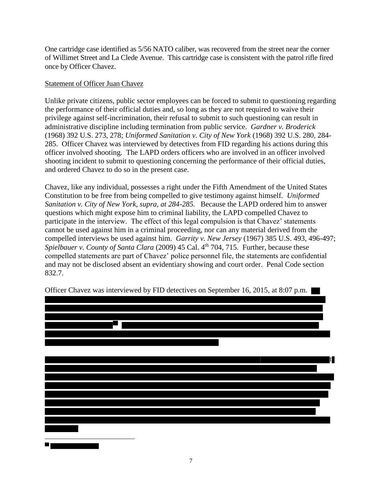One cartridge case identified as 5/56 NATO caliber, was recovered from the street near the corner of Willimet Street and La Clede Avenue. This cartridge case is consistent with the patrol rifle fired once by Officer Chavez.

#### Statement of Officer Juan Chavez

Unlike private citizens, public sector employees can be forced to submit to questioning regarding the performance of their official duties and, so long as they are not required to waive their privilege against self-incrimination, their refusal to submit to such questioning can result in administrative discipline including termination from public service. *Gardner v. Broderick* (1968) 392 U.S. 273, 278; *Uniformed Sanitation v. City of New York* (1968) 392 U.S. 280, 284- 285. Officer Chavez was interviewed by detectives from FID regarding his actions during this officer involved shooting. The LAPD orders officers who are involved in an officer involved shooting incident to submit to questioning concerning the performance of their official duties, and ordered Chavez to do so in the present case.

Chavez, like any individual, possesses a right under the Fifth Amendment of the United States Constitution to be free from being compelled to give testimony against himself. *Uniformed Sanitation v. City of New York, supra, at 284-285.* Because the LAPD ordered him to answer questions which might expose him to criminal liability, the LAPD compelled Chavez to participate in the interview. The effect of this legal compulsion is that Chavez' statements cannot be used against him in a criminal proceeding, nor can any material derived from the compelled interviews be used against him. *Garrity v. New Jersey* (1967) 385 U.S. 493, 496-497; *Spielbauer v. County of Santa Clara* (2009) 45 Cal. 4<sup>th</sup> 704, 715. Further, because these compelled statements are part of Chavez' police personnel file, the statements are confidential and may not be disclosed absent an evidentiary showing and court order. Penal Code section 832.7.



Officer Chavez was interviewed by FID detectives on September 16, 2015, at 8:07 p.m.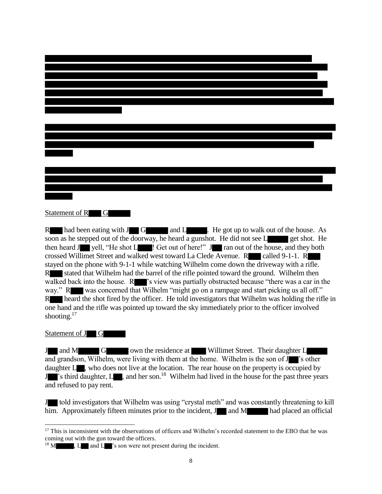#### Statement of R G

R had been eating with  $J \Box G$  and  $L$  . He got up to walk out of the house. As soon as he stepped out of the doorway, he heard a gunshot. He did not see L get shot. He then heard J yell, "He shot L ! Get out of here!" J ran out of the house, and they both crossed Willimet Street and walked west toward La Clede Avenue. R called 9-1-1. R stayed on the phone with 9-1-1 while watching Wilhelm come down the driveway with a rifle. R stated that Wilhelm had the barrel of the rifle pointed toward the ground. Wilhelm then walked back into the house.  $R$   $\blacksquare$  's view was partially obstructed because "there was a car in the way." R was concerned that Wilhelm "might go on a rampage and start picking us all off." R heard the shot fired by the officer. He told investigators that Wilhelm was holding the rifle in one hand and the rifle was pointed up toward the sky immediately prior to the officer involved shooting.<sup>17</sup>

#### Statement of J G

J and M G own the residence at Willimet Street. Their daughter L and grandson, Wilhelm, were living with them at the home. Wilhelm is the son of J 's other daughter  $L_{\bullet}$ , who does not live at the location. The rear house on the property is occupied by J<sup>3</sup> is third daughter, L<sup>3</sup>, and her son.<sup>18</sup> Wilhelm had lived in the house for the past three years and refused to pay rent.

J told investigators that Wilhelm was using "crystal meth" and was constantly threatening to kill him. Approximately fifteen minutes prior to the incident,  $J$  and M had placed an official

l <sup>17</sup> This is inconsistent with the observations of officers and Wilhelm's recorded statement to the EBO that he was coming out with the gun toward the officers.

 $18$  M  $\ldots$  , L and L  $\ldots$ 's son were not present during the incident.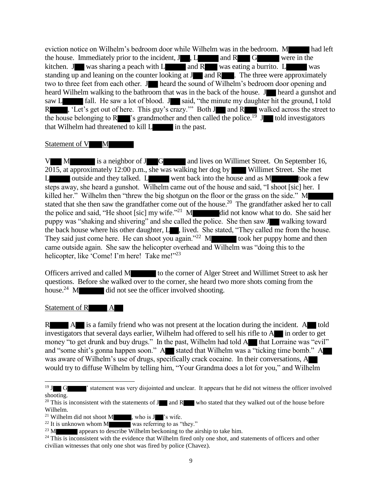eviction notice on Wilhelm's bedroom door while Wilhelm was in the bedroom. M had left the house. Immediately prior to the incident,  $J$ ,  $L$  and  $R$  G were in the kitchen. J was sharing a peach with  $L$  and  $R$  was eating a burrito.  $L$  was standing up and leaning on the counter looking at  $J$  and  $R$  . The three were approximately two to three feet from each other. Jump heard the sound of Wilhelm's bedroom door opening and heard Wilhelm walking to the bathroom that was in the back of the house. J heard a gunshot and saw L fall. He saw a lot of blood. J said, "the minute my daughter hit the ground, I told R , 'Let's get out of here. This guy's crazy.'" Both J and R walked across the street to the house belonging to R<sup>3</sup> s grandmother and then called the police.<sup>19</sup> J<sup>3</sup> told investigators that Wilhelm had threatened to kill L in the past.

#### Statement of V M

V M is a neighbor of J G and lives on Willimet Street. On September 16, 2015, at approximately 12:00 p.m., she was walking her dog by Willimet Street. She met L outside and they talked. L went back into the house and as M took a few steps away, she heard a gunshot. Wilhelm came out of the house and said, "I shoot [sic] her. I killed her." Wilhelm then "threw the big shotgun on the floor or the grass on the side." M stated that she then saw the grandfather come out of the house.<sup>20</sup> The grandfather asked her to call the police and said, "He shoot [sic] my wife."<sup>21</sup> M did not know what to do. She said her puppy was "shaking and shivering" and she called the police. She then saw J walking toward the back house where his other daughter, L<sub>3</sub>, lived. She stated, "They called me from the house. They said just come here. He can shoot you again.<sup> $22$ </sup> M took her puppy home and then came outside again. She saw the helicopter overhead and Wilhelm was "doing this to the helicopter, like 'Come! I'm here! Take me!"<sup>23</sup>

Officers arrived and called M to the corner of Alger Street and Willimet Street to ask her questions. Before she walked over to the corner, she heard two more shots coming from the house.<sup>24</sup> M did not see the officer involved shooting.

#### Statement of R A

l

R A is a family friend who was not present at the location during the incident. A told investigators that several days earlier, Wilhelm had offered to sell his rifle to  $A$  in order to get money "to get drunk and buy drugs." In the past, Wilhelm had told  $A$  that Lorraine was "evil" and "some shit's gonna happen soon."  $A$  stated that Wilhelm was a "ticking time bomb."  $A$ was aware of Wilhelm's use of drugs, specifically crack cocaine. In their conversations, A would try to diffuse Wilhelm by telling him, "Your Grandma does a lot for you," and Wilhelm

<sup>&</sup>lt;sup>19</sup> J G <sup>'</sup> statement was very disjointed and unclear. It appears that he did not witness the officer involved shooting.

<sup>&</sup>lt;sup>20</sup> This is inconsistent with the statements of J and R who stated that they walked out of the house before Wilhelm.

<sup>&</sup>lt;sup>21</sup> Wilhelm did not shoot M , who is  $J$  's wife.<br><sup>22</sup> It is unknown whom M was referring to as "

was referring to as "they."

 $^{23}$  M appears to describe Wilhelm beckoning to the airship to take him.

 $24$  This is inconsistent with the evidence that Wilhelm fired only one shot, and statements of officers and other civilian witnesses that only one shot was fired by police (Chavez).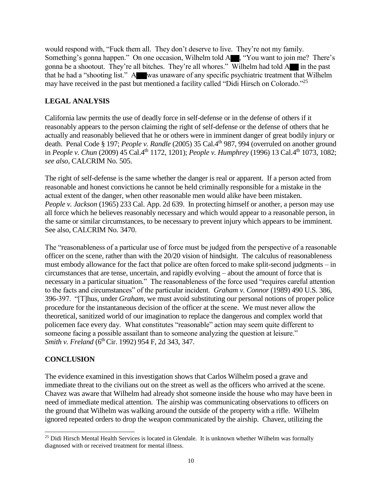would respond with, "Fuck them all. They don't deserve to live. They're not my family. Something's gonna happen." On one occasion, Wilhelm told A , "You want to join me? There's gonna be a shootout. They're all bitches. They're all whores." Wilhelm had told A in the past that he had a "shooting list." A was unaware of any specific psychiatric treatment that Wilhelm may have received in the past but mentioned a facility called "Didi Hirsch on Colorado."<sup>25</sup>

### **LEGAL ANALYSIS**

California law permits the use of deadly force in self-defense or in the defense of others if it reasonably appears to the person claiming the right of self-defense or the defense of others that he actually and reasonably believed that he or others were in imminent danger of great bodily injury or death. Penal Code § 197; *People v. Randle* (2005) 35 Cal.4<sup>th</sup> 987, 994 (overruled on another ground in *People v. Chun* (2009) 45 Cal.4th 1172, 1201); *People v. Humphrey* (1996) 13 Cal.4th 1073, 1082; *see also,* CALCRIM No. 505.

The right of self-defense is the same whether the danger is real or apparent. If a person acted from reasonable and honest convictions he cannot be held criminally responsible for a mistake in the actual extent of the danger, when other reasonable men would alike have been mistaken. *People v. Jackson* (1965) 233 Cal. App. 2d 639. In protecting himself or another, a person may use all force which he believes reasonably necessary and which would appear to a reasonable person, in the same or similar circumstances, to be necessary to prevent injury which appears to be imminent. See also, CALCRIM No. 3470.

The "reasonableness of a particular use of force must be judged from the perspective of a reasonable officer on the scene, rather than with the 20/20 vision of hindsight. The calculus of reasonableness must embody allowance for the fact that police are often forced to make split-second judgments – in circumstances that are tense, uncertain, and rapidly evolving – about the amount of force that is necessary in a particular situation." The reasonableness of the force used "requires careful attention to the facts and circumstances" of the particular incident. *Graham v. Connor* (1989) 490 U.S. 386, 396-397. "[T]hus, under *Graham*, we must avoid substituting our personal notions of proper police procedure for the instantaneous decision of the officer at the scene. We must never allow the theoretical, sanitized world of our imagination to replace the dangerous and complex world that policemen face every day. What constitutes "reasonable" action may seem quite different to someone facing a possible assailant than to someone analyzing the question at leisure." *Smith v. Freland* (6<sup>th</sup> Cir. 1992) 954 F, 2d 343, 347.

### **CONCLUSION**

The evidence examined in this investigation shows that Carlos Wilhelm posed a grave and immediate threat to the civilians out on the street as well as the officers who arrived at the scene. Chavez was aware that Wilhelm had already shot someone inside the house who may have been in need of immediate medical attention. The airship was communicating observations to officers on the ground that Wilhelm was walking around the outside of the property with a rifle. Wilhelm ignored repeated orders to drop the weapon communicated by the airship. Chavez, utilizing the

 $\overline{a}$  $25$  Didi Hirsch Mental Health Services is located in Glendale. It is unknown whether Wilhelm was formally diagnosed with or received treatment for mental illness.